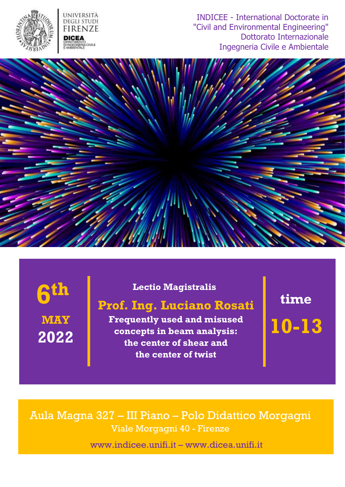

INDICEE - International Doctorate in "Civil and Environmental Engineering" Dottorato Internazionale Ingegneria Civile e Ambientale



# **MAY 2022 6**

#### **Lectio Magistralis**

## **Prof. Ing. Luciano Rosati th b the Lectio Magistralis time time**

**Frequently used and misused concepts in beam analysis: the center of shear and the center of twist**

**10-13**

Aula Magna 327 – III Piano – Polo Didattico Morgagni Viale Morgagni 40 - Firenze

[www.indicee.unifi.it](http://www.indicee.unifi.it/) – [www.dicea.unifi.it](http://www.dicea.unifi.it/)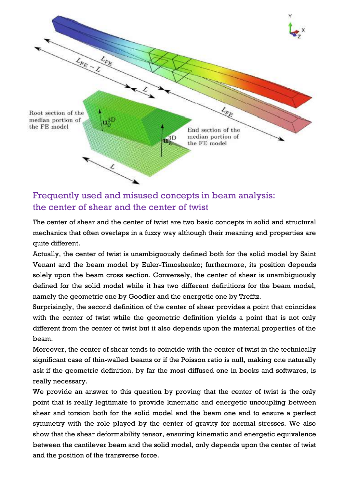

#### Frequently used and misused concepts in beam analysis: the center of shear and the center of twist

The center of shear and the center of twist are two basic concepts in solid and structural mechanics that often overlaps in a fuzzy way although their meaning and properties are quite different.

Actually, the center of twist is unambiguously defined both for the solid model by Saint Venant and the beam model by Euler-Timoshenko; furthermore, its position depends solely upon the beam cross section. Conversely, the center of shear is unambiguously defined for the solid model while it has two different definitions for the beam model, namely the geometric one by Goodier and the energetic one by Trefftz.

Surprisingly, the second definition of the center of shear provides a point that coincides with the center of twist while the geometric definition yields a point that is not only different from the center of twist but it also depends upon the material properties of the beam.

Moreover, the center of shear tends to coincide with the center of twist in the technically significant case of thin-walled beams or if the Poisson ratio is null, making one naturally ask if the geometric definition, by far the most diffused one in books and softwares, is really necessary.

We provide an answer to this question by proving that the center of twist is the only point that is really legitimate to provide kinematic and energetic uncoupling between shear and torsion both for the solid model and the beam one and to ensure a perfect symmetry with the role played by the center of gravity for normal stresses. We also show that the shear deformability tensor, ensuring kinematic and energetic equivalence between the cantilever beam and the solid model, only depends upon the center of twist and the position of the transverse force.